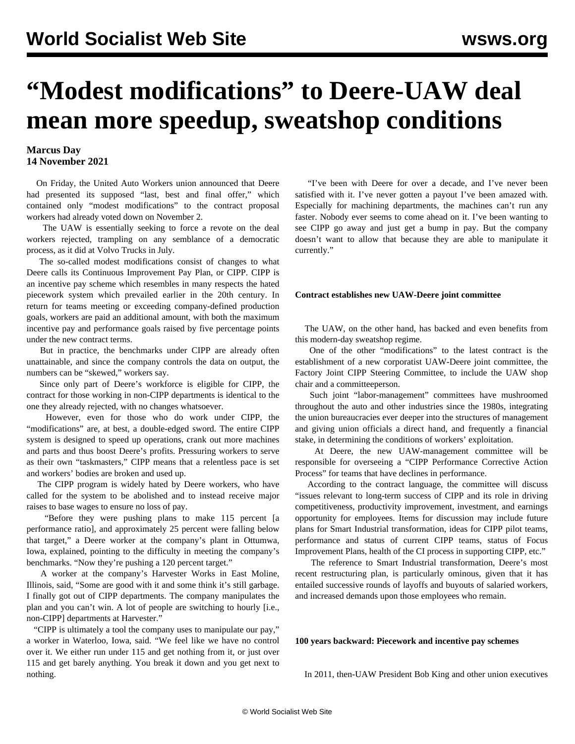# **"Modest modifications" to Deere-UAW deal mean more speedup, sweatshop conditions**

#### **Marcus Day 14 November 2021**

 On Friday, the United Auto Workers union announced that Deere had presented its supposed "last, best and final offer," which contained only "modest modifications" to the contract proposal workers had already voted down on November 2.

 The UAW is essentially seeking to force a revote on the deal workers rejected, trampling on any semblance of a democratic process, as it did at [Volvo Trucks](/en/articles/2021/07/12/pers-j12.html) in July.

 The so-called modest modifications consist of changes to what Deere calls its Continuous Improvement Pay Plan, or CIPP. CIPP is an incentive pay scheme which resembles in many respects the hated piecework system which prevailed earlier in the 20th century. In return for teams meeting or exceeding company-defined production goals, workers are paid an additional amount, with both the maximum incentive pay and performance goals raised by five percentage points under the new contract terms.

 But in practice, the benchmarks under CIPP are already often unattainable, and since the company controls the data on output, the numbers can be "skewed," workers say.

 Since only part of Deere's workforce is eligible for CIPP, the contract for those working in non-CIPP departments is identical to the one they already rejected, with no changes whatsoever.

 However, even for those who do work under CIPP, the "modifications" are, at best, a double-edged sword. The entire CIPP system is designed to speed up operations, crank out more machines and parts and thus boost Deere's profits. Pressuring workers to serve as their own "taskmasters," CIPP means that a relentless pace is set and workers' bodies are broken and used up.

 The CIPP program is widely hated by Deere workers, who have called for the system to be abolished and to instead receive major raises to base wages to ensure no loss of pay.

 "Before they were pushing plans to make 115 percent [a performance ratio], and approximately 25 percent were falling below that target," a Deere worker at the company's plant in Ottumwa, Iowa, explained, pointing to the difficulty in meeting the company's benchmarks. "Now they're pushing a 120 percent target."

 A worker at the company's Harvester Works in East Moline, Illinois, said, "Some are good with it and some think it's still garbage. I finally got out of CIPP departments. The company manipulates the plan and you can't win. A lot of people are switching to hourly [i.e., non-CIPP] departments at Harvester."

 "CIPP is ultimately a tool the company uses to manipulate our pay," a worker in Waterloo, Iowa, said. "We feel like we have no control over it. We either run under 115 and get nothing from it, or just over 115 and get barely anything. You break it down and you get next to nothing.

 "I've been with Deere for over a decade, and I've never been satisfied with it. I've never gotten a payout I've been amazed with. Especially for machining departments, the machines can't run any faster. Nobody ever seems to come ahead on it. I've been wanting to see CIPP go away and just get a bump in pay. But the company doesn't want to allow that because they are able to manipulate it currently."

#### **Contract establishes new UAW-Deere joint committee**

 The UAW, on the other hand, has backed and even benefits from this modern-day sweatshop regime.

 One of the other "modifications" to the latest contract is the establishment of a new corporatist UAW-Deere joint committee, the Factory Joint CIPP Steering Committee, to include the UAW shop chair and a committeeperson.

 Such joint "labor-management" committees have mushroomed throughout the auto and other industries since the 1980s, integrating the union bureaucracies ever deeper into the structures of management and giving union officials a direct hand, and frequently a financial stake, in determining the conditions of workers' exploitation.

 At Deere, the new UAW-management committee will be responsible for overseeing a "CIPP Performance Corrective Action Process" for teams that have declines in performance.

 According to the contract language, the committee will discuss "issues relevant to long-term success of CIPP and its role in driving competitiveness, productivity improvement, investment, and earnings opportunity for employees. Items for discussion may include future plans for Smart Industrial transformation, ideas for CIPP pilot teams, performance and status of current CIPP teams, status of Focus Improvement Plans, health of the CI process in supporting CIPP, etc."

 The reference to Smart Industrial transformation, Deere's most recent restructuring plan, is particularly ominous, given that it has entailed [successive rounds of layoffs and buyouts](/en/articles/2020/07/25/deer-j25.html) of salaried workers, and increased demands upon those employees who remain.

### **100 years backward: Piecework and incentive pay schemes**

In 2011, then-UAW President Bob King and other union executives